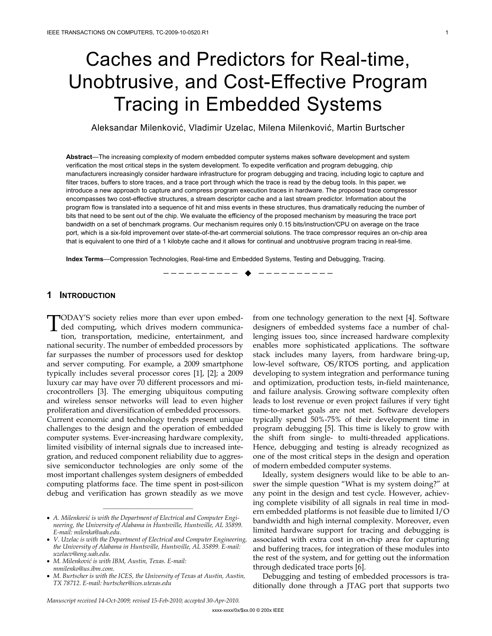# Caches and Predictors for Real-time, Unobtrusive, and Cost-Effective Program Tracing in Embedded Systems

Aleksandar Milenković, Vladimir Uzelac, Milena Milenković, Martin Burtscher

**Abstract**—The increasing complexity of modern embedded computer systems makes software development and system verification the most critical steps in the system development. To expedite verification and program debugging, chip manufacturers increasingly consider hardware infrastructure for program debugging and tracing, including logic to capture and filter traces, buffers to store traces, and a trace port through which the trace is read by the debug tools. In this paper, we introduce a new approach to capture and compress program execution traces in hardware. The proposed trace compressor encompasses two cost-effective structures, a stream descriptor cache and a last stream predictor. Information about the program flow is translated into a sequence of hit and miss events in these structures, thus dramatically reducing the number of bits that need to be sent out of the chip. We evaluate the efficiency of the proposed mechanism by measuring the trace port bandwidth on a set of benchmark programs. Our mechanism requires only 0.15 bits/instruction/CPU on average on the trace port, which is a six-fold improvement over state-of-the-art commercial solutions. The trace compressor requires an on-chip area that is equivalent to one third of a 1 kilobyte cache and it allows for continual and unobtrusive program tracing in real-time.

—————————— ——————————

**Index Terms**—Compression Technologies, Real-time and Embedded Systems, Testing and Debugging, Tracing.

# **1 INTRODUCTION**

TODAY'S society relies more than ever upon embed-<br>ded computing, which drives modern communica-<br>tion transportation modicing optertainment, and ded computing, which drives modern communication, transportation, medicine, entertainment, and national security. The number of embedded processors by far surpasses the number of processors used for desktop and server computing. For example, a 2009 smartphone typically includes several processor cores [1], [2]; a 2009 luxury car may have over 70 different processors and microcontrollers [3]. The emerging ubiquitous computing and wireless sensor networks will lead to even higher proliferation and diversification of embedded processors. Current economic and technology trends present unique challenges to the design and the operation of embedded computer systems. Ever-increasing hardware complexity, limited visibility of internal signals due to increased integration, and reduced component reliability due to aggressive semiconductor technologies are only some of the most important challenges system designers of embedded computing platforms face. The time spent in post-silicon debug and verification has grown steadily as we move

————————————————

from one technology generation to the next [4]. Software designers of embedded systems face a number of challenging issues too, since increased hardware complexity enables more sophisticated applications. The software stack includes many layers, from hardware bring-up, low-level software, OS/RTOS porting, and application developing to system integration and performance tuning and optimization, production tests, in-field maintenance, and failure analysis. Growing software complexity often leads to lost revenue or even project failures if very tight time-to-market goals are not met. Software developers typically spend 50%-75% of their development time in program debugging [5]. This time is likely to grow with the shift from single- to multi-threaded applications. Hence, debugging and testing is already recognized as one of the most critical steps in the design and operation of modern embedded computer systems.

Ideally, system designers would like to be able to answer the simple question "What is my system doing?" at any point in the design and test cycle. However, achieving complete visibility of all signals in real time in modern embedded platforms is not feasible due to limited I/O bandwidth and high internal complexity. Moreover, even limited hardware support for tracing and debugging is associated with extra cost in on-chip area for capturing and buffering traces, for integration of these modules into the rest of the system, and for getting out the information through dedicated trace ports [6].

Debugging and testing of embedded processors is traditionally done through a JTAG port that supports two

<sup>•</sup> *A. Milenković is with the Department of Electrical and Computer Engineering, the University of Alabama in Huntsville, Huntsville, AL 35899. E-mail: milenka@uah.edu.*

<sup>•</sup> *V. Uzelac is with the Department of Electrical and Computer Engineering, the University of Alabama in Huntsville, Huntsville, AL 35899. E-mail: uzelacv@eng.uah.edu.*

<sup>•</sup> *M. Milenković is with IBM, Austin, Texas. E-mail: mmilenko@us.ibm.com.*

<sup>•</sup> *M. Burtscher is with the ICES, the University of Texas at Austin, Austin, TX 78712. E-mail: burtscher@ices.utexas.edu*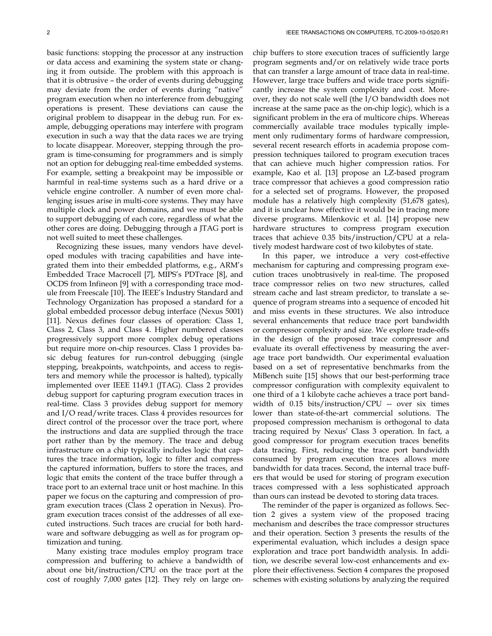basic functions: stopping the processor at any instruction or data access and examining the system state or changing it from outside. The problem with this approach is that it is obtrusive – the order of events during debugging may deviate from the order of events during "native" program execution when no interference from debugging operations is present. These deviations can cause the original problem to disappear in the debug run. For example, debugging operations may interfere with program execution in such a way that the data races we are trying to locate disappear. Moreover, stepping through the program is time-consuming for programmers and is simply not an option for debugging real-time embedded systems. For example, setting a breakpoint may be impossible or harmful in real-time systems such as a hard drive or a vehicle engine controller. A number of even more challenging issues arise in multi-core systems. They may have multiple clock and power domains, and we must be able to support debugging of each core, regardless of what the other cores are doing. Debugging through a JTAG port is not well suited to meet these challenges.

Recognizing these issues, many vendors have developed modules with tracing capabilities and have integrated them into their embedded platforms, e.g., ARM's Embedded Trace Macrocell [7], MIPS's PDTrace [8], and OCDS from Infineon [9] with a corresponding trace module from Freescale [10]. The IEEE's Industry Standard and Technology Organization has proposed a standard for a global embedded processor debug interface (Nexus 5001) [11]. Nexus defines four classes of operation: Class 1, Class 2, Class 3, and Class 4. Higher numbered classes progressively support more complex debug operations but require more on-chip resources. Class 1 provides basic debug features for run-control debugging (single stepping, breakpoints, watchpoints, and access to registers and memory while the processor is halted), typically implemented over IEEE 1149.1 (JTAG). Class 2 provides debug support for capturing program execution traces in real-time. Class 3 provides debug support for memory and I/O read/write traces. Class 4 provides resources for direct control of the processor over the trace port, where the instructions and data are supplied through the trace port rather than by the memory. The trace and debug infrastructure on a chip typically includes logic that captures the trace information, logic to filter and compress the captured information, buffers to store the traces, and logic that emits the content of the trace buffer through a trace port to an external trace unit or host machine. In this paper we focus on the capturing and compression of program execution traces (Class 2 operation in Nexus). Program execution traces consist of the addresses of all executed instructions. Such traces are crucial for both hardware and software debugging as well as for program optimization and tuning.

Many existing trace modules employ program trace compression and buffering to achieve a bandwidth of about one bit/instruction/CPU on the trace port at the cost of roughly 7,000 gates [12]. They rely on large onchip buffers to store execution traces of sufficiently large program segments and/or on relatively wide trace ports that can transfer a large amount of trace data in real-time. However, large trace buffers and wide trace ports significantly increase the system complexity and cost. Moreover, they do not scale well (the I/O bandwidth does not increase at the same pace as the on-chip logic), which is a significant problem in the era of multicore chips. Whereas commercially available trace modules typically implement only rudimentary forms of hardware compression, several recent research efforts in academia propose compression techniques tailored to program execution traces that can achieve much higher compression ratios. For example, Kao et al. [13] propose an LZ-based program trace compressor that achieves a good compression ratio for a selected set of programs. However, the proposed module has a relatively high complexity (51,678 gates), and it is unclear how effective it would be in tracing more diverse programs. Milenkovic et al. [14] propose new hardware structures to compress program execution traces that achieve 0.35 bits/instruction/CPU at a relatively modest hardware cost of two kilobytes of state.

In this paper, we introduce a very cost-effective mechanism for capturing and compressing program execution traces unobtrusively in real-time. The proposed trace compressor relies on two new structures, called stream cache and last stream predictor, to translate a sequence of program streams into a sequence of encoded hit and miss events in these structures. We also introduce several enhancements that reduce trace port bandwidth or compressor complexity and size. We explore trade-offs in the design of the proposed trace compressor and evaluate its overall effectiveness by measuring the average trace port bandwidth. Our experimental evaluation based on a set of representative benchmarks from the MiBench suite [15] shows that our best-performing trace compressor configuration with complexity equivalent to one third of a 1 kilobyte cache achieves a trace port bandwidth of  $0.15$  bits/instruction/CPU -- over six times lower than state-of-the-art commercial solutions. The proposed compression mechanism is orthogonal to data tracing required by Nexus' Class 3 operation. In fact, a good compressor for program execution traces benefits data tracing. First, reducing the trace port bandwidth consumed by program execution traces allows more bandwidth for data traces. Second, the internal trace buffers that would be used for storing of program execution traces compressed with a less sophisticated approach than ours can instead be devoted to storing data traces.

The reminder of the paper is organized as follows. Section 2 gives a system view of the proposed tracing mechanism and describes the trace compressor structures and their operation. Section 3 presents the results of the experimental evaluation, which includes a design space exploration and trace port bandwidth analysis. In addition, we describe several low-cost enhancements and explore their effectiveness. Section 4 compares the proposed schemes with existing solutions by analyzing the required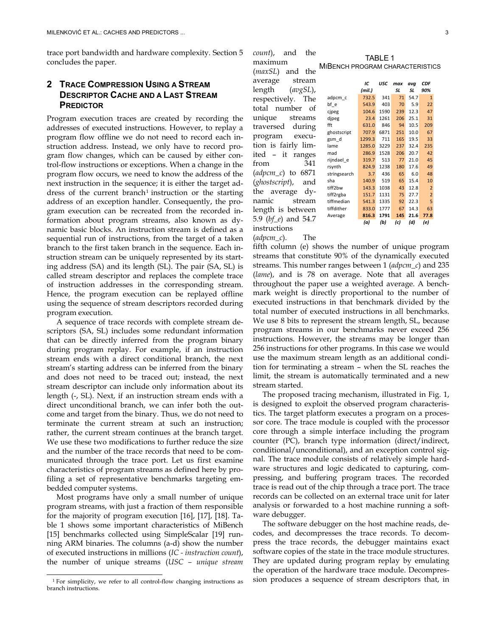trace port bandwidth and hardware complexity. Section 5 concludes the paper.

# **2 TRACE COMPRESSION USING A STREAM DESCRIPTOR CACHE AND A LAST STREAM PREDICTOR**

Program execution traces are created by recording the addresses of executed instructions. However, to replay a program flow offline we do not need to record each instruction address. Instead, we only have to record program flow changes, which can be caused by either control-flow instructions or exceptions. When a change in the program flow occurs, we need to know the address of the next instruction in the sequence; it is either the target address of the current branch<sup>1</sup> instruction or the starting address of an exception handler. Consequently, the program execution can be recreated from the recorded information about program streams, also known as dynamic basic blocks. An instruction stream is defined as a sequential run of instructions, from the target of a taken branch to the first taken branch in the sequence. Each instruction stream can be uniquely represented by its starting address (SA) and its length (SL). The pair (SA, SL) is called stream descriptor and replaces the complete trace of instruction addresses in the corresponding stream. Hence, the program execution can be replayed offline using the sequence of stream descriptors recorded during program execution.

A sequence of trace records with complete stream descriptors (SA, SL) includes some redundant information that can be directly inferred from the program binary during program replay. For example, if an instruction stream ends with a direct conditional branch, the next stream's starting address can be inferred from the binary and does not need to be traced out; instead, the next stream descriptor can include only information about its length (-, SL). Next, if an instruction stream ends with a direct unconditional branch, we can infer both the outcome and target from the binary. Thus, we do not need to terminate the current stream at such an instruction; rather, the current stream continues at the branch target. We use these two modifications to further reduce the size and the number of the trace records that need to be communicated through the trace port. Let us first examine characteristics of program streams as defined here by profiling a set of representative benchmarks targeting embedded computer systems.

Most programs have only a small number of unique program streams, with just a fraction of them responsible for the majority of program execution [16], [17], [18]. Table 1 shows some important characteristics of MiBench [15] benchmarks collected using SimpleScalar [19] running ARM binaries. The columns (a-d) show the number of executed instructions in millions (*IC - instruction count*), the number of unique streams (*USC – unique stream*  *count*), and the maximum (*maxSL*) and the average stream length (*avgSL*), respectively. The total number of unique streams traversed during program execution is fairly limited – it ranges from 341 (*adpcm\_c*) to 6871 (*ghostscript*), and the average dynamic stream length is between 5.9 (*bf\_e*) and 54.7 instructions

(*adpcm\_c*). The

*IC USC max avg CDF (mil.) SL SL 90%* adpcm\_c 732.5 341 71 54.7 1<br>bf e 543.9 403 70 5.9 22 bf\_e 543.9 403 70 5.9 22 cjpeg 104.6 1590 239 12.3 47 djpeg 23.4 1261 206 25.1 31 fft 631.0 846 94 10.5 209 ghostscript 707.9 6871 251 10.0 67 gsm d 1299.3 711 165 19.5 33 lame 1285.0 3229 237 32.4 235 mad 286.9 1528 206 20.7 42 rijndael\_e 319.7 513 77 21.0 45 rsynth 824.9 1238 180 17.6 49 stringsearch 3.7 436 65 6.0 48<br>sha 140.9 519 65 15.4 10 sha 140.9 519 65 15.4 10 tiff2bw 143.3 1038 43 12.8 2 tiff2rgba 151.7 1131 75 27.7 2 tiffmedian 541.3 1335 92 22.3 5 tiffdither 833.0 1777 67 14.3 63 Average **816.3 1791 145 21.6 77.8**

*(a) (b) (c) (d) (e)*

fifth column (e) shows the number of unique program streams that constitute 90% of the dynamically executed streams. This number ranges between 1 (*adpcm\_c*) and 235 (*lame*), and is 78 on average. Note that all averages throughout the paper use a weighted average. A benchmark weight is directly proportional to the number of executed instructions in that benchmark divided by the total number of executed instructions in all benchmarks. We use 8 bits to represent the stream length, SL, because program streams in our benchmarks never exceed 256 instructions. However, the streams may be longer than 256 instructions for other programs. In this case we would use the maximum stream length as an additional condition for terminating a stream – when the SL reaches the limit, the stream is automatically terminated and a new stream started.

The proposed tracing mechanism, illustrated in Fig. 1, is designed to exploit the observed program characteristics. The target platform executes a program on a processor core. The trace module is coupled with the processor core through a simple interface including the program counter (PC), branch type information (direct/indirect, conditional/unconditional), and an exception control signal. The trace module consists of relatively simple hardware structures and logic dedicated to capturing, compressing, and buffering program traces. The recorded trace is read out of the chip through a trace port. The trace records can be collected on an external trace unit for later analysis or forwarded to a host machine running a software debugger.

The software debugger on the host machine reads, decodes, and decompresses the trace records. To decompress the trace records, the debugger maintains exact software copies of the state in the trace module structures. They are updated during program replay by emulating the operation of the hardware trace module. Decompression produces a sequence of stream descriptors that, in

# TABLE 1

MIBENCH PROGRAM CHARACTERISTICS

<sup>&</sup>lt;sup>1</sup> For simplicity, we refer to all control-flow changing instructions as branch instructions.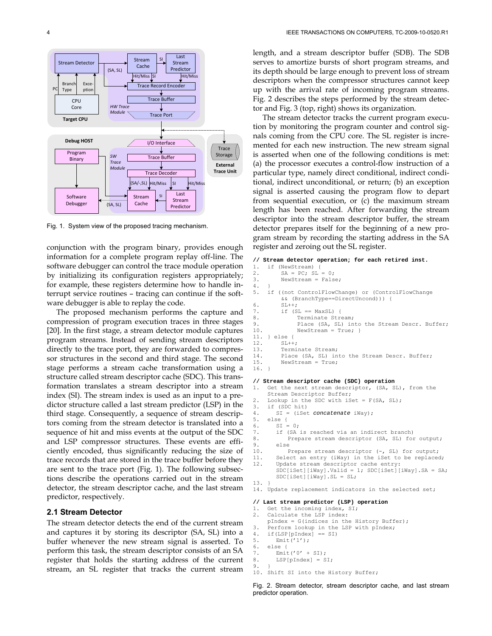

Fig. 1. System view of the proposed tracing mechanism.

conjunction with the program binary, provides enough information for a complete program replay off-line. The software debugger can control the trace module operation by initializing its configuration registers appropriately; for example, these registers determine how to handle interrupt service routines – tracing can continue if the software debugger is able to replay the code.

The proposed mechanism performs the capture and compression of program execution traces in three stages [20]. In the first stage, a stream detector module captures program streams. Instead of sending stream descriptors directly to the trace port, they are forwarded to compressor structures in the second and third stage. The second stage performs a stream cache transformation using a structure called stream descriptor cache (SDC). This transformation translates a stream descriptor into a stream index (SI). The stream index is used as an input to a predictor structure called a last stream predictor (LSP) in the third stage. Consequently, a sequence of stream descriptors coming from the stream detector is translated into a sequence of hit and miss events at the output of the SDC and LSP compressor structures. These events are efficiently encoded, thus significantly reducing the size of trace records that are stored in the trace buffer before they are sent to the trace port (Fig. 1). The following subsections describe the operations carried out in the stream detector, the stream descriptor cache, and the last stream predictor, respectively.

# **2.1 Stream Detector**

The stream detector detects the end of the current stream and captures it by storing its descriptor (SA, SL) into a buffer whenever the new stream signal is asserted. To perform this task, the stream descriptor consists of an SA register that holds the starting address of the current stream, an SL register that tracks the current stream length, and a stream descriptor buffer (SDB). The SDB serves to amortize bursts of short program streams, and its depth should be large enough to prevent loss of stream descriptors when the compressor structures cannot keep up with the arrival rate of incoming program streams. Fig. 2 describes the steps performed by the stream detector and Fig. 3 (top, right) shows its organization.

The stream detector tracks the current program execution by monitoring the program counter and control signals coming from the CPU core. The SL register is incremented for each new instruction. The new stream signal is asserted when one of the following conditions is met: (a) the processor executes a control-flow instruction of a particular type, namely direct conditional, indirect conditional, indirect unconditional, or return; (b) an exception signal is asserted causing the program flow to depart from sequential execution, or (c) the maximum stream length has been reached. After forwarding the stream descriptor into the stream descriptor buffer, the stream detector prepares itself for the beginning of a new program stream by recording the starting address in the SA register and zeroing out the SL register.

#### **// Stream detector operation; for each retired inst.**

```
1. if (NewStream) {<br>2. SA = PC; SL2. SA = PC; SL = 0;<br>3. NewStream = Fals
           NewStream = False;
rac{4}{5}.
      if ((not ControlFlowChange) or (ControlFlowChange
&\& (BranchType==DirectUncond))) {<br>6. SL++;
           SL++;
7. if (SL == MaxSL) {<br>8. Terminate Stre
                  Terminate Stream;
9. Place (SA, SL) into the Stream Descr. Buffer;<br>10. NewStream = True; }
                  NewStream = True;11. } else {<br>12. SL++
12. SL++;<br>13. Termi
13. Terminate Stream;<br>14. Place (SA, SL) in
14. Place (SA, SL) into the Stream Descr. Buffer;<br>15. NewStream = True;
           NewStream = True;
16. } 
// Stream descriptor cache (SDC) operation 
     Get the next stream descriptor, (SA, SL), from the
      Stream Descriptor Buffer; 
2. Lookup in the SDC with iSet = F(SA, SL);<br>3. if (SDC hit)
      if (SDC hit)
4. SI = (iSet concatenate iWay); 
5. else {<br>6. SI =
         ST = 0;7. if (SA is reached via an indirect branch)<br>8. Prepare stream descriptor (SA, SL) for
8. Prepare stream descriptor (SA, SL) for output;<br>9. else
9. else<br>10. F
10. Prepare stream descriptor (-, SL) for output;<br>11. Select an entry (iWay) in the iSet to be replace
11. Select an entry (iWay) in the iSet to be replaced;<br>12. Update stream descriptor cache entry:
         Update stream descriptor cache entry:
         SDC[iSet][iWay].Valid = 1; SDC[iSet][iWay].SA = SA; SDC[iSet][iWay].SL = SL; 
13. } 
14. Update replacement indicators in the selected set; 
// Last stream predictor (LSP) operation 
1. Get the incoming index, SI;<br>2. Calculate the LSP index:
      Calculate the LSP index:
     pIndex = G(indices in the History Buffer); 
3. Perform lookup in the LSP with pIndex;<br>4. if(LSP[pIndex] == SI)
4. if (LSP[</math>pIndex] == <math>SI</math>)  \n5. <math>Emit('1')</math>:5. Emit('1');<br>6. else {
      6. else { 
7. \text{Emit}('0' + \text{SI});<br>8. LSP[pIndex] = S
```
10. Shift SI into the History Buffer; Fig. 2. Stream detector, stream descriptor cache, and last stream

LSP[pIndex] = SI;

9. }

predictor operation.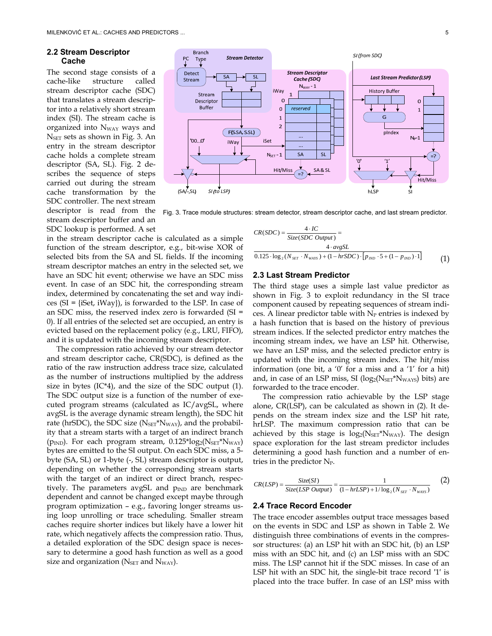# **2.2 Stream Descriptor Cache**

The second stage consists of a cache-like structure called stream descriptor cache (SDC) that translates a stream descriptor into a relatively short stream index (SI). The stream cache is organized into N<sub>WAY</sub> ways and NSET sets as shown in Fig. 3. An entry in the stream descriptor cache holds a complete stream descriptor (SA, SL). Fig. 2 describes the sequence of steps carried out during the stream cache transformation by the SDC controller. The next stream descriptor is read from the stream descriptor buffer and an SDC lookup is performed. A set



Fig. 3. Trace module structures: stream detector, stream descriptor cache, and last stream predictor.

in the stream descriptor cache is calculated as a simple function of the stream descriptor, e.g., bit-wise XOR of selected bits from the SA and SL fields. If the incoming stream descriptor matches an entry in the selected set, we have an SDC hit event; otherwise we have an SDC miss event. In case of an SDC hit, the corresponding stream index, determined by concatenating the set and way indices (SI = {iSet, iWay}), is forwarded to the LSP. In case of an SDC miss, the reserved index zero is forwarded (SI = 0). If all entries of the selected set are occupied, an entry is evicted based on the replacement policy (e.g., LRU, FIFO), and it is updated with the incoming stream descriptor.

The compression ratio achieved by our stream detector and stream descriptor cache, CR(SDC), is defined as the ratio of the raw instruction address trace size, calculated as the number of instructions multiplied by the address size in bytes  $(IC^*4)$ , and the size of the SDC output  $(1)$ . The SDC output size is a function of the number of executed program streams (calculated as IC/avgSL, where avgSL is the average dynamic stream length), the SDC hit rate (hrSDC), the SDC size ( $N_{\text{SET}}$ \* $N_{\text{WAY}}$ ), and the probability that a stream starts with a target of an indirect branch ( $p_{IND}$ ). For each program stream,  $0.125 * log_2(N_{SET} * N_{WAY})$ bytes are emitted to the SI output. On each SDC miss, a 5 byte (SA, SL) or 1-byte (-, SL) stream descriptor is output, depending on whether the corresponding stream starts with the target of an indirect or direct branch, respectively. The parameters avgSL and  $p_{\text{IND}}$  are benchmark dependent and cannot be changed except maybe through program optimization – e.g., favoring longer streams using loop unrolling or trace scheduling. Smaller stream caches require shorter indices but likely have a lower hit rate, which negatively affects the compression ratio. Thus, a detailed exploration of the SDC design space is necessary to determine a good hash function as well as a good size and organization ( $N<sub>SET</sub>$  and  $N<sub>WAY</sub>$ ).

$$
CR(SDC) = \frac{4 \cdot IC}{Size(SDC\ Output)} =
$$
  

$$
\frac{4 \cdot avgSL}{0.125 \cdot \log_2(N_{\text{SET}} \cdot N_{\text{WATS}}) + (1 - hrSDC) \cdot [p_{\text{IND}} \cdot 5 + (1 - p_{\text{IND}}) \cdot 1]}
$$
(1)

#### **2.3 Last Stream Predictor**

The third stage uses a simple last value predictor as shown in Fig. 3 to exploit redundancy in the SI trace component caused by repeating sequences of stream indices. A linear predictor table with  $N_P$  entries is indexed by a hash function that is based on the history of previous stream indices. If the selected predictor entry matches the incoming stream index, we have an LSP hit. Otherwise, we have an LSP miss, and the selected predictor entry is updated with the incoming stream index. The hit/miss information (one bit, a '0' for a miss and a '1' for a hit) and, in case of an LSP miss, SI  $(log_2(N_{\rm SET}^*N_{\rm WAYS})$  bits) are forwarded to the trace encoder.

The compression ratio achievable by the LSP stage alone, CR(LSP), can be calculated as shown in (2). It depends on the stream index size and the LSP hit rate, hrLSP. The maximum compression ratio that can be achieved by this stage is  $log_2(N_{\rm SET}^*N_{\rm WAY})$ . The design space exploration for the last stream predictor includes determining a good hash function and a number of entries in the predictor  $N_P$ .

$$
CR(LSP) = \frac{Size(SI)}{Size(LSP\ Output)} = \frac{1}{(1 - hrLSP) + 1/\log_2(N_{SET} \cdot N_{WATS})}
$$
(2)

#### **2.4 Trace Record Encoder**

The trace encoder assembles output trace messages based on the events in SDC and LSP as shown in Table 2. We distinguish three combinations of events in the compressor structures: (a) an LSP hit with an SDC hit, (b) an LSP miss with an SDC hit, and (c) an LSP miss with an SDC miss. The LSP cannot hit if the SDC misses. In case of an LSP hit with an SDC hit, the single-bit trace record ′1′ is placed into the trace buffer. In case of an LSP miss with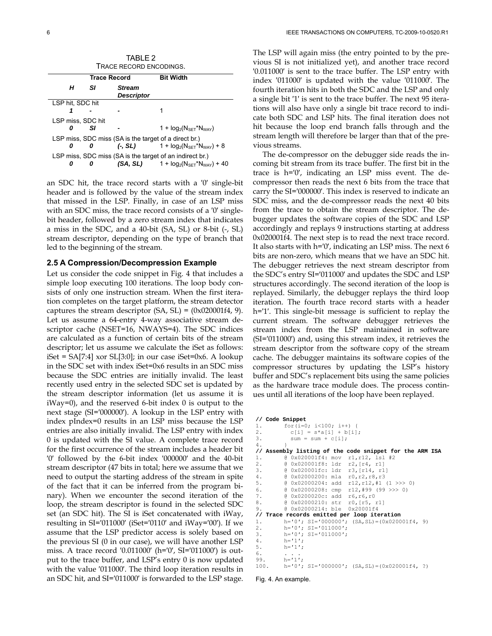| TABLE 2<br>TRACE RECORD ENCODINGS. |                     |                             |                                                                                                          |  |  |  |  |
|------------------------------------|---------------------|-----------------------------|----------------------------------------------------------------------------------------------------------|--|--|--|--|
|                                    | <b>Trace Record</b> |                             | <b>Bit Width</b>                                                                                         |  |  |  |  |
| н                                  | SI.                 | <b>Stream</b><br>Descriptor |                                                                                                          |  |  |  |  |
| LSP hit, SDC hit                   |                     |                             |                                                                                                          |  |  |  |  |
|                                    |                     |                             |                                                                                                          |  |  |  |  |
| LSP miss, SDC hit                  |                     |                             |                                                                                                          |  |  |  |  |
|                                    | SI                  |                             | 1 + $log_2(N_{\text{SET}}^*N_{\text{WAY}})$                                                              |  |  |  |  |
|                                    |                     |                             | LSP miss, SDC miss (SA is the target of a direct br.)                                                    |  |  |  |  |
| 0                                  | n                   |                             | $(-, SL)$ 1 + $log_2(N_{\text{SET}}^*N_{\text{WAY}})$ + 8                                                |  |  |  |  |
| Ω                                  |                     |                             | LSP miss, SDC miss (SA is the target of an indirect br.)<br>$(SA, SL)$ 1 + $log_2(N_{SET} N_{WAY})$ + 40 |  |  |  |  |

an SDC hit, the trace record starts with a ′0′ single-bit header and is followed by the value of the stream index that missed in the LSP. Finally, in case of an LSP miss with an SDC miss, the trace record consists of a ′0′ singlebit header, followed by a zero stream index that indicates a miss in the SDC, and a 40-bit (SA, SL) or 8-bit (-, SL) stream descriptor, depending on the type of branch that led to the beginning of the stream.

### **2.5 A Compression/Decompression Example**

Let us consider the code snippet in Fig. 4 that includes a simple loop executing 100 iterations. The loop body consists of only one instruction stream. When the first iteration completes on the target platform, the stream detector captures the stream descriptor  $(SA, SL) = (0x020001f4, 9)$ . Let us assume a 64-entry 4-way associative stream descriptor cache (NSET=16, NWAYS=4). The SDC indices are calculated as a function of certain bits of the stream descriptor; let us assume we calculate the iSet as follows:  $iSet = SA[7:4] \times SL[3:0];$  in our case  $iSet=0 \times 6$ . A lookup in the SDC set with index iSet=0x6 results in an SDC miss because the SDC entries are initially invalid. The least recently used entry in the selected SDC set is updated by the stream descriptor information (let us assume it is iWay=0), and the reserved 6-bit index 0 is output to the next stage (SI=′000000′). A lookup in the LSP entry with index pIndex=0 results in an LSP miss because the LSP entries are also initially invalid. The LSP entry with index 0 is updated with the SI value. A complete trace record for the first occurrence of the stream includes a header bit ′0′ followed by the 6-bit index ′000000′ and the 40-bit stream descriptor (47 bits in total; here we assume that we need to output the starting address of the stream in spite of the fact that it can be inferred from the program binary). When we encounter the second iteration of the loop, the stream descriptor is found in the selected SDC set (an SDC hit). The SI is iSet concatenated with iWay, resulting in SI=′011000′ (iSet=′0110′ and iWay=′00′). If we assume that the LSP predictor access is solely based on the previous SI (0 in our case), we will have another LSP miss. A trace record ′0.011000′ (h=′0′, SI=′011000′) is output to the trace buffer, and LSP's entry 0 is now updated with the value ′011000′. The third loop iteration results in an SDC hit, and SI=′011000′ is forwarded to the LSP stage. The LSP will again miss (the entry pointed to by the previous SI is not initialized yet), and another trace record ′0.011000′ is sent to the trace buffer. The LSP entry with index ′011000′ is updated with the value ′011000′. The fourth iteration hits in both the SDC and the LSP and only a single bit ′1′ is sent to the trace buffer. The next 95 iterations will also have only a single bit trace record to indicate both SDC and LSP hits. The final iteration does not hit because the loop end branch falls through and the stream length will therefore be larger than that of the previous streams.

The de-compressor on the debugger side reads the incoming bit stream from its trace buffer. The first bit in the trace is h=′0′, indicating an LSP miss event. The decompressor then reads the next 6 bits from the trace that carry the SI=′000000′. This index is reserved to indicate an SDC miss, and the de-compressor reads the next 40 bits from the trace to obtain the stream descriptor. The debugger updates the software copies of the SDC and LSP accordingly and replays 9 instructions starting at address 0x020001f4. The next step is to read the next trace record. It also starts with h=′0′, indicating an LSP miss. The next 6 bits are non-zero, which means that we have an SDC hit. The debugger retrieves the next stream descriptor from the SDC's entry SI=′011000′ and updates the SDC and LSP structures accordingly. The second iteration of the loop is replayed. Similarly, the debugger replays the third loop iteration. The fourth trace record starts with a header h=′1′. This single-bit message is sufficient to replay the current stream. The software debugger retrieves the stream index from the LSP maintained in software (SI=′011000′) and, using this stream index, it retrieves the stream descriptor from the software copy of the stream cache. The debugger maintains its software copies of the compressor structures by updating the LSP's history buffer and SDC's replacement bits using the same policies as the hardware trace module does. The process continues until all iterations of the loop have been replayed.

```
// Code Snippet
1. for(i=0; i<100; i++) {<br>2. c[i] = s*aji + b[i]2. c[i] = s * a[i] + b[i];<br>3. sum = sum + c[i];sum = sum + c[i];4. } 
// Assembly listing of the code snippet for the ARM ISA 
1. @ 0x020001f4: mov r1, r12, lsl #2<br>2. @ 0x020001f8: ldr r2, [r4, r1]
2. @ 0x020001f8: ldr r2, [r4, r1]<br>3. @ 0x020001fc: ldr r3, [r14, r1]
           @ 0x020001fc: ldr r3, [r14, r1<br>@ 0x02000200: mla r0, r2, r8, r3
4. @ 0x02000200: mla<br>5. @ 0x02000204: add
5. @ 0x02000204: add r12,r12,#1 (1 >>> 0) 
                                     r12, #99 (99 \gg) 0)<br>r6, r6, r07. @ 0x0200020c: add r6,r6,r0<br>8. @ 0x02000210: str r0, [r5, r1]
           @ 0x02000210: str
9. @ 0x02000214: ble 0x20001f4 
// Trace records emitted per loop iteration 
1. h='0'; SI='000000'; (SA, SL)=(0 \times 020001f4, 9)<br>2. h='0'; SI='011000';
2. h='0'; SI='011000';<br>3. h='0'; SI='011000';3. h=′0′; SI=′011000′; 
4. h='1';<br>5. h='1';
           h = '1';
6. . . .
99. h=′1′; 
100. h='0'; SI='000000'; (SA, SL) = 0x020001f4, ?)
```
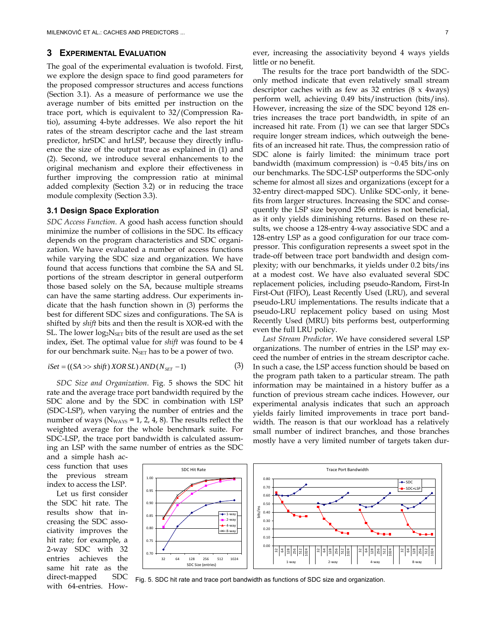# **3 EXPERIMENTAL EVALUATION**

The goal of the experimental evaluation is twofold. First, we explore the design space to find good parameters for the proposed compressor structures and access functions (Section 3.1). As a measure of performance we use the average number of bits emitted per instruction on the trace port, which is equivalent to 32/(Compression Ratio), assuming 4-byte addresses. We also report the hit rates of the stream descriptor cache and the last stream predictor, hrSDC and hrLSP, because they directly influence the size of the output trace as explained in (1) and (2). Second, we introduce several enhancements to the original mechanism and explore their effectiveness in further improving the compression ratio at minimal added complexity (Section 3.2) or in reducing the trace module complexity (Section 3.3).

# **3.1 Design Space Exploration**

*SDC Access Function*. A good hash access function should minimize the number of collisions in the SDC. Its efficacy depends on the program characteristics and SDC organization. We have evaluated a number of access functions while varying the SDC size and organization. We have found that access functions that combine the SA and SL portions of the stream descriptor in general outperform those based solely on the SA, because multiple streams can have the same starting address. Our experiments indicate that the hash function shown in (3) performs the best for different SDC sizes and configurations. The SA is shifted by *shift* bits and then the result is XOR-ed with the SL. The lower  $log_2N_{\text{SET}}$  bits of the result are used as the set index, iSet. The optimal value for *shift* was found to be 4 for our benchmark suite.  $N_{\text{SET}}$  has to be a power of two.

$$
iSet = ((SA \gg shift) XOR SL) AND (NSET - 1)
$$
 (3)

*SDC Size and Organization*. Fig. 5 shows the SDC hit rate and the average trace port bandwidth required by the SDC alone and by the SDC in combination with LSP (SDC-LSP), when varying the number of entries and the number of ways ( $N_{WAYS} = 1, 2, 4, 8$ ). The results reflect the weighted average for the whole benchmark suite. For SDC-LSP, the trace port bandwidth is calculated assuming an LSP with the same number of entries as the SDC ever, increasing the associativity beyond 4 ways yields little or no benefit.

The results for the trace port bandwidth of the SDConly method indicate that even relatively small stream descriptor caches with as few as 32 entries (8 x 4ways) perform well, achieving 0.49 bits/instruction (bits/ins). However, increasing the size of the SDC beyond 128 entries increases the trace port bandwidth, in spite of an increased hit rate. From (1) we can see that larger SDCs require longer stream indices, which outweigh the benefits of an increased hit rate. Thus, the compression ratio of SDC alone is fairly limited: the minimum trace port bandwidth (maximum compression) is  $\sim 0.45$  bits/ins on our benchmarks. The SDC-LSP outperforms the SDC-only scheme for almost all sizes and organizations (except for a 32-entry direct-mapped SDC). Unlike SDC-only, it benefits from larger structures. Increasing the SDC and consequently the LSP size beyond 256 entries is not beneficial, as it only yields diminishing returns. Based on these results, we choose a 128-entry 4-way associative SDC and a 128-entry LSP as a good configuration for our trace compressor. This configuration represents a sweet spot in the trade-off between trace port bandwidth and design complexity; with our benchmarks, it yields under 0.2 bits/ins at a modest cost. We have also evaluated several SDC replacement policies, including pseudo-Random, First-In First-Out (FIFO), Least Recently Used (LRU), and several pseudo-LRU implementations. The results indicate that a pseudo-LRU replacement policy based on using Most Recently Used (MRU) bits performs best, outperforming even the full LRU policy.

*Last Stream Predictor*. We have considered several LSP organizations. The number of entries in the LSP may exceed the number of entries in the stream descriptor cache. In such a case, the LSP access function should be based on the program path taken to a particular stream. The path information may be maintained in a history buffer as a function of previous stream cache indices. However, our experimental analysis indicates that such an approach yields fairly limited improvements in trace port bandwidth. The reason is that our workload has a relatively small number of indirect branches, and those branches mostly have a very limited number of targets taken dur-

and a simple hash access function that uses the previous stream index to access the LSP.

Let us first consider the SDC hit rate. The results show that increasing the SDC associativity improves the hit rate; for example, a 2-way SDC with 32 entries achieves the same hit rate as the direct-mapped SDC with 64-entries. How-



Fig. 5. SDC hit rate and trace port bandwidth as functions of SDC size and organization.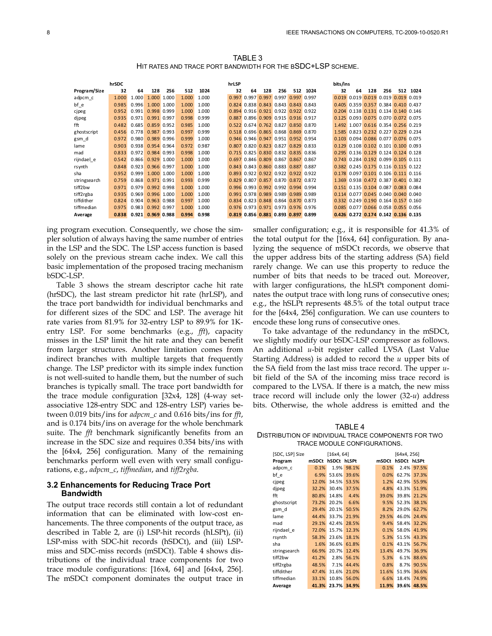TABLE 3 HIT RATES AND TRACE PORT BANDWIDTH FOR THE BSDC+LSP SCHEME.

|              | hrSDC |                         |             |     |       |       | hrLSP |    |                                     |     |     |      | bits/ins |    |     |     |                                                 |          |
|--------------|-------|-------------------------|-------------|-----|-------|-------|-------|----|-------------------------------------|-----|-----|------|----------|----|-----|-----|-------------------------------------------------|----------|
| Program/Size | 32    | 64                      | 128         | 256 | 512   | 1024  | 32    | 64 | 128                                 | 256 | 512 | 1024 | 32       | 64 | 128 | 256 |                                                 | 512 1024 |
| adpcm c      | 1.000 | 1.000                   | 1.000 1.000 |     | 1.000 | 1.000 |       |    | 0.997 0.997 0.997 0.997 0.997 0.997 |     |     |      |          |    |     |     | 0.019 0.019 0.019 0.019 0.019 0.019             |          |
| bf e         | 0.985 | 0.996                   | 1.000 1.000 |     | 1.000 | 1.000 |       |    | 0.824 0.838 0.843 0.843 0.843 0.843 |     |     |      |          |    |     |     | 0.405 0.359 0.357 0.384 0.410 0.437             |          |
| cipeg        | 0.952 | 0.991                   | 0.998 0.999 |     | 1.000 | 1.000 |       |    | 0.894 0.916 0.921 0.922 0.922 0.922 |     |     |      |          |    |     |     | 0.204 0.138 0.131 0.134 0.140 0.146             |          |
| dipeg        | 0.935 | 0.971                   | 0.991 0.997 |     | 0.998 | 0.999 |       |    | 0.887 0.896 0.909 0.915 0.916 0.917 |     |     |      |          |    |     |     | 0.125 0.093 0.075 0.070 0.072 0.075             |          |
| fft          | 0.482 | 0.685                   | 0.859 0.952 |     | 0.985 | 1.000 |       |    | 0.522 0.674 0.762 0.827 0.850 0.870 |     |     |      |          |    |     |     | 1.492 1.007 0.616 0.354 0.256 0.219             |          |
| ghostscript  | 0.456 | 0.778                   | 0.987 0.993 |     | 0.997 | 0.999 |       |    | 0.518 0.696 0.865 0.868 0.869 0.870 |     |     |      |          |    |     |     | 1.585 0.823 0.232 0.227 0.229 0.234             |          |
| gsm d        | 0.972 | 0.980                   | 0.989 0.996 |     | 0.999 | 1.000 |       |    | 0.946 0.946 0.947 0.951 0.952 0.954 |     |     |      |          |    |     |     | 0.103 0.094 0.086 0.077 0.076 0.075             |          |
| lame         | 0.903 | 0.938                   | 0.954 0.964 |     | 0.972 | 0.987 |       |    | 0.807 0.820 0.823 0.827 0.829 0.833 |     |     |      |          |    |     |     | $0.129$ $0.108$ $0.102$ $0.101$ $0.100$ $0.093$ |          |
| mad          | 0.833 | 0.972                   | 0.984 0.993 |     | 0.998 | 1.000 |       |    | 0.715 0.825 0.830 0.832 0.835 0.836 |     |     |      |          |    |     |     | 0.295 0.136 0.129 0.124 0.124 0.128             |          |
| rijndael e   | 0.542 | 0.866                   | 0.929 1.000 |     | 1.000 | 1.000 |       |    | 0.697 0.846 0.809 0.867 0.867 0.867 |     |     |      |          |    |     |     | 0.743 0.284 0.192 0.099 0.105 0.111             |          |
| rsynth       | 0.848 | 0.923                   | 0.966 0.997 |     | 1.000 | 1.000 |       |    | 0.843 0.843 0.860 0.883 0.887 0.887 |     |     |      |          |    |     |     | 0.382 0.245 0.175 0.116 0.115 0.122             |          |
| sha          | 0.952 | 0.999                   | 1.000 1.000 |     | 1.000 | 1.000 |       |    | 0.893 0.922 0.922 0.922 0.922 0.922 |     |     |      |          |    |     |     | 0.178 0.097 0.101 0.106 0.111 0.116             |          |
| stringsearch | 0.759 | 0.868                   | 0.971 0.991 |     | 0.993 | 0.999 |       |    | 0.829 0.807 0.857 0.870 0.872 0.872 |     |     |      |          |    |     |     | 1.369 0.938 0.472 0.387 0.401 0.382             |          |
| tiff2bw      | 0.971 | 0.979                   | 0.992 0.998 |     | 1.000 | 1.000 |       |    | 0.996 0.993 0.992 0.992 0.994 0.994 |     |     |      |          |    |     |     | 0.151 0.135 0.104 0.087 0.083 0.084             |          |
| tiff2rgba    | 0.935 | 0.969                   | 0.996 1.000 |     | 1.000 | 1.000 |       |    | 0.991 0.978 0.989 0.989 0.989 0.989 |     |     |      |          |    |     |     | $0.114$ $0.077$ $0.045$ $0.040$ $0.040$ $0.040$ |          |
| tiffdither   | 0.824 | 0.904                   | 0.963 0.988 |     | 0.997 | 1.000 |       |    | 0.834 0.823 0.848 0.864 0.870 0.873 |     |     |      |          |    |     |     | 0.332 0.249 0.190 0.164 0.157 0.160             |          |
| tiffmedian   | 0.975 | 0.983                   | 0.992 0.997 |     | 1.000 | 1.000 |       |    | 0.976 0.973 0.971 0.973 0.976 0.976 |     |     |      |          |    |     |     | 0.085 0.077 0.066 0.058 0.055 0.056             |          |
| Average      |       | 0.838 0.921 0.969 0.988 |             |     | 0.994 | 0.998 |       |    | 0.819 0.856 0.881 0.893 0.897 0.899 |     |     |      |          |    |     |     | 0.426 0.272 0.174 0.142 0.136 0.135             |          |

ing program execution. Consequently, we chose the simpler solution of always having the same number of entries in the LSP and the SDC. The LSP access function is based solely on the previous stream cache index. We call this basic implementation of the proposed tracing mechanism bSDC-LSP.

Table 3 shows the stream descriptor cache hit rate (hrSDC), the last stream predictor hit rate (hrLSP), and the trace port bandwidth for individual benchmarks and for different sizes of the SDC and LSP. The average hit rate varies from 81.9% for 32-entry LSP to 89.9% for 1Kentry LSP. For some benchmarks (e.g., *fft*), capacity misses in the LSP limit the hit rate and they can benefit from larger structures. Another limitation comes from indirect branches with multiple targets that frequently change. The LSP predictor with its simple index function is not well-suited to handle them, but the number of such branches is typically small. The trace port bandwidth for the trace module configuration [32x4, 128] (4-way setassociative 128-entry SDC and 128-entry LSP) varies between 0.019 bits/ins for *adpcm\_c* and 0.616 bits/ins for *fft*, and is 0.174 bits/ins on average for the whole benchmark suite. The *fft* benchmark significantly benefits from an increase in the SDC size and requires 0.354 bits/ins with the [64x4, 256] configuration. Many of the remaining benchmarks perform well even with very small configurations, e.g., *adpcm\_c*, *tiffmedian*, and *tiff2rgba*.

#### **3.2 Enhancements for Reducing Trace Port Bandwidth**

The output trace records still contain a lot of redundant information that can be eliminated with low-cost enhancements. The three components of the output trace, as described in Table 2, are (i) LSP-hit records (hLSPt), (ii) LSP-miss with SDC-hit records (hSDCt), and (iii) LSPmiss and SDC-miss records (mSDCt). Table 4 shows distributions of the individual trace components for two trace module configurations: [16x4, 64] and [64x4, 256]. The mSDCt component dominates the output trace in smaller configuration; e.g., it is responsible for 41.3% of the total output for the [16x4, 64] configuration. By analyzing the sequence of mSDCt records, we observe that the upper address bits of the starting address (SA) field rarely change. We can use this property to reduce the number of bits that needs to be traced out. Moreover, with larger configurations, the hLSPt component dominates the output trace with long runs of consecutive ones; e.g., the hSLPt represents 48.5% of the total output trace for the [64x4, 256] configuration. We can use counters to encode these long runs of consecutive ones.

To take advantage of the redundancy in the mSDCt, we slightly modify our bSDC-LSP compressor as follows. An additional *u*-bit register called LVSA (Last Value Starting Address) is added to record the *u* upper bits of the SA field from the last miss trace record. The upper *u*bit field of the SA of the incoming miss trace record is compared to the LVSA. If there is a match, the new miss trace record will include only the lower (32-*u*) address bits. Otherwise, the whole address is emitted and the

TARI $FA$ DISTRIBUTION OF INDIVIDUAL TRACE COMPONENTS FOR TWO TRACE MODULE CONFIGURATIONS.

| [SDC, LSP] Size |       | [16x4, 64]  |       |       | [64x4, 256] |       |
|-----------------|-------|-------------|-------|-------|-------------|-------|
| Program         | mSDCt | hSDCt hLSPt |       | mSDCt | hSDCt       | hLSPt |
| adpcm c         | 0.1%  | 1.9%        | 98.1% | 0.1%  | 2.4%        | 97.5% |
| bf e            | 6.9%  | 53.6%       | 39.6% | 0.0%  | 62.7%       | 37.3% |
| cipeg           | 12.0% | 34.5%       | 53.5% | 1.2%  | 42.9%       | 55.9% |
| dipeg           | 32.2% | 30.4%       | 37.5% | 4.8%  | 43.3%       | 51.9% |
| fft             | 80.8% | 14.8%       | 4.4%  | 39.0% | 39.8%       | 21.2% |
| ghostscript     | 73.2% | 20.2%       | 6.6%  | 9.5%  | 52.3%       | 38.1% |
| gsm d           | 29.4% | 20.1%       | 50.5% | 8.2%  | 29.0%       | 62.7% |
| lame            | 44.4% | 33.7%       | 21.9% | 29.5% | 46.0%       | 24.4% |
| mad             | 29.1% | 42.4%       | 28.5% | 9.4%  | 58.4%       | 32.2% |
| rijndael e      | 72.0% | 15.7%       | 12.3% | 0.1%  | 58.0%       | 41.9% |
| rsynth          | 58.3% | 23.6%       | 18.1% | 5.3%  | 51.5%       | 43.3% |
| sha             | 1.6%  | 36.6%       | 61.8% | 0.1%  | 43.1%       | 56.7% |
| stringsearch    | 66.9% | 20.7%       | 12.4% | 13.4% | 49.7%       | 36.9% |
| tiff2bw         | 41.2% | 2.8%        | 56.1% | 5.3%  | 6.1%        | 88.6% |
| tiff2rgba       | 48.5% | 7.1%        | 44.4% | 0.8%  | 8.7%        | 90.5% |
| tiffdither      | 47.4% | 31.6%       | 21.0% | 11.6% | 51.9%       | 36.6% |
| tiffmedian      | 33.1% | 10.8%       | 56.0% | 6.6%  | 18.4%       | 74.9% |
| Average         | 41.3% | 23.7%       | 34.9% | 11.9% | 39.6%       | 48.5% |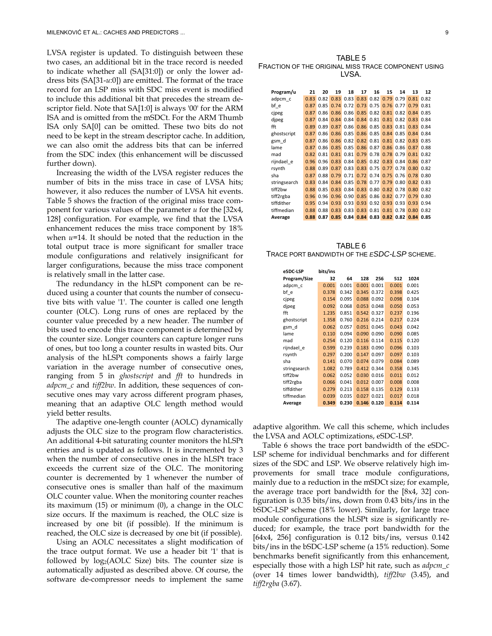LVSA register is updated. To distinguish between these two cases, an additional bit in the trace record is needed to indicate whether all (SA[31:0]) or only the lower address bits (SA[31-*u*:0]) are emitted. The format of the trace record for an LSP miss with SDC miss event is modified to include this additional bit that precedes the stream descriptor field. Note that SA[1:0] is always '00' for the ARM ISA and is omitted from the mSDCt. For the ARM Thumb ISA only SA[0] can be omitted. These two bits do not need to be kept in the stream descriptor cache. In addition, we can also omit the address bits that can be inferred from the SDC index (this enhancement will be discussed further down).

Increasing the width of the LVSA register reduces the number of bits in the miss trace in case of LVSA hits; however, it also reduces the number of LVSA hit events. Table 5 shows the fraction of the original miss trace component for various values of the parameter *u* for the [32x4, 128] configuration. For example, we find that the LVSA enhancement reduces the miss trace component by 18% when *u*=14. It should be noted that the reduction in the total output trace is more significant for smaller trace module configurations and relatively insignificant for larger configurations, because the miss trace component is relatively small in the latter case.

The redundancy in the hLSPt component can be reduced using a counter that counts the number of consecutive bits with value '1'. The counter is called one length counter (OLC). Long runs of ones are replaced by the counter value preceded by a new header. The number of bits used to encode this trace component is determined by the counter size. Longer counters can capture longer runs of ones, but too long a counter results in wasted bits. Our analysis of the hLSPt components shows a fairly large variation in the average number of consecutive ones, ranging from 5 in *ghostscript* and *fft* to hundreds in *adpcm\_c* and *tiff2bw*. In addition, these sequences of consecutive ones may vary across different program phases, meaning that an adaptive OLC length method would yield better results.

The adaptive one-length counter (AOLC) dynamically adjusts the OLC size to the program flow characteristics. An additional 4-bit saturating counter monitors the hLSPt entries and is updated as follows. It is incremented by 3 when the number of consecutive ones in the hLSPt trace exceeds the current size of the OLC. The monitoring counter is decremented by 1 whenever the number of consecutive ones is smaller than half of the maximum OLC counter value. When the monitoring counter reaches its maximum (15) or minimum (0), a change in the OLC size occurs. If the maximum is reached, the OLC size is increased by one bit (if possible). If the minimum is reached, the OLC size is decreased by one bit (if possible).

Using an AOLC necessitates a slight modification of the trace output format. We use a header bit '1' that is followed by log2(AOLC Size) bits. The counter size is automatically adjusted as described above. Of course, the software de-compressor needs to implement the same

TABLE 5 FRACTION OF THE ORIGINAL MISS TRACE COMPONENT USING LVSA.

| Program/u    | 21   | 20   | 19   | 18   | 17                   | 16            | 15                            | 14   | 13                                 | 12   |
|--------------|------|------|------|------|----------------------|---------------|-------------------------------|------|------------------------------------|------|
| adpcm c      | 0.83 | 0.82 |      |      |                      |               |                               |      | 0.83 0.83 0.83 0.82 0.79 0.79 0.81 | 0.82 |
| bf e         | 0.87 | 0.85 |      |      |                      |               | 0.74 0.72 0.73 0.75 0.76 0.77 |      | 0.79                               | 0.81 |
| cipeg        | 0.87 | 0.86 | 0.86 |      | $0.86$ $0.85$        |               | $0.82$ $0.81$                 | 0.82 | 0.84                               | 0.85 |
| djpeg        | 0.87 | 0.84 | 0.84 |      | $0.84$ $0.84$ $0.81$ |               | 0.81                          | 0.82 | 0.83                               | 0.84 |
| fft          | 0.89 | 0.89 | 0.87 | 0.86 |                      | $0.86$ $0.85$ | 0.83                          | 0.81 | 0.83                               | 0.84 |
| ghostscript  | 0.87 | 0.86 | 0.86 | 0.85 | 0.86                 | 0.85          | 0.84                          | 0.85 | 0.84                               | 0.84 |
| gsm d        | 0.87 | 0.86 | 0.86 | 0.82 | 0.82                 | 0.81          | 0.81                          | 0.82 | 0.83                               | 0.85 |
| lame         | 0.87 | 0.86 | 0.85 | 0.85 | 0.86                 |               | $0.87$ 0.86 0.86              |      | 0.87                               | 0.88 |
| mad          | 0.82 | 0.81 | 0.81 | 0.81 | 0.79                 |               | $0.78$ 0.78                   | 0.79 | 0.81                               | 0.82 |
| rijndael e   | 0.96 | 0.96 | 0.83 |      | $0.84$ $0.85$        |               | $0.82$ $0.83$                 | 0.84 | 0.86                               | 0.87 |
| rsynth       | 0.88 | 0.89 |      |      |                      |               | 0.87 0.83 0.83 0.75 0.77      | 0.78 | 0.80                               | 0.82 |
| sha          | 0.87 | 0.88 |      |      |                      |               | 0.79 0.71 0.72 0.74 0.75 0.76 |      | 0.78                               | 0.80 |
| stringsearch | 0.83 | 0.84 |      |      |                      |               | 0.84 0.85 0.78 0.77 0.79 0.80 |      | 0.82                               | 0.83 |
| tiff2bw      | 0.88 | 0.85 |      |      |                      |               | 0.83 0.84 0.83 0.80 0.82 0.78 |      | 0.80                               | 0.82 |
| tiff2rgba    | 0.96 | 0.96 | 0.96 |      | $0.90$ $0.85$        |               | $0.86$ $0.82$                 | 0.77 | 0.79                               | 0.80 |
| tiffdither   | 0.95 | 0.94 | 0.93 |      | $0.93$ $0.93$        |               | $0.92$ 0.93                   | 0.93 | 0.93                               | 0.94 |
| tiffmedian   | 0.88 | 0.88 | 0.83 |      | $0.83$ $0.83$        | 0.81          | 0.81                          | 0.78 | 0.80                               | 0.82 |
| Average      | 0.88 | 0.87 |      |      |                      |               |                               |      | 0.85 0.84 0.84 0.83 0.82 0.82 0.84 | 0.85 |

TABLE 6 TRACE PORT BANDWIDTH OF THE *ESDC-LSP* SCHEME.

| eSDC-LSP     | bits/ins |       |       |       |       |       |
|--------------|----------|-------|-------|-------|-------|-------|
| Program/Size | 32       | 64    | 128   | 256   | 512   | 1024  |
| adpcm c      | 0.001    | 0.001 | 0.001 | 0.001 | 0.001 | 0.001 |
| bf e         | 0.378    | 0.342 | 0.345 | 0.372 | 0.398 | 0.425 |
| cipeg        | 0.154    | 0.095 | 0.088 | 0.092 | 0.098 | 0.104 |
| djpeg        | 0.092    | 0.068 | 0.053 | 0.048 | 0.050 | 0.053 |
| fft          | 1.235    | 0.851 | 0.542 | 0.327 | 0.237 | 0.196 |
| ghostscript  | 1.358    | 0.760 | 0.216 | 0.214 | 0.217 | 0.224 |
| gsm d        | 0.062    | 0.057 | 0.051 | 0.045 | 0.043 | 0.042 |
| lame         | 0.110    | 0.094 | 0.090 | 0.090 | 0.090 | 0.085 |
| mad          | 0.254    | 0.120 | 0.116 | 0.114 | 0.115 | 0.120 |
| rijndael e   | 0.599    | 0.239 | 0.183 | 0.090 | 0.096 | 0.103 |
| rsynth       | 0.297    | 0.200 | 0.147 | 0.097 | 0.097 | 0.103 |
| sha          | 0.141    | 0.070 | 0.074 | 0.079 | 0.084 | 0.089 |
| stringsearch | 1.082    | 0.789 | 0.412 | 0.344 | 0.358 | 0.345 |
| tiff2hw      | 0.062    | 0.052 | 0.030 | 0.016 | 0.011 | 0.012 |
| tiff2rgba    | 0.066    | 0.041 | 0.012 | 0.007 | 0.008 | 0.008 |
| tiffdither   | 0.279    | 0.213 | 0.158 | 0.135 | 0.129 | 0.133 |
| tiffmedian   | 0.039    | 0.035 | 0.027 | 0.021 | 0.017 | 0.018 |
| Average      | 0.349    | 0.230 | 0.146 | 0.120 | 0.114 | 0.114 |

adaptive algorithm. We call this scheme, which includes the LVSA and AOLC optimizations, eSDC-LSP.

Table 6 shows the trace port bandwidth of the eSDC-LSP scheme for individual benchmarks and for different sizes of the SDC and LSP. We observe relatively high improvements for small trace module configurations, mainly due to a reduction in the mSDCt size; for example, the average trace port bandwidth for the [8x4, 32] configuration is 0.35 bits/ins, down from 0.43 bits/ins in the bSDC-LSP scheme (18% lower). Similarly, for large trace module configurations the hLSPt size is significantly reduced; for example, the trace port bandwidth for the [64x4, 256] configuration is 0.12 bits/ins, versus 0.142 bits/ins in the bSDC-LSP scheme (a 15% reduction). Some benchmarks benefit significantly from this enhancement, especially those with a high LSP hit rate, such as *adpcm\_c* (over 14 times lower bandwidth), *tiff2bw* (3.45), and *tiff2rgba* (3.67).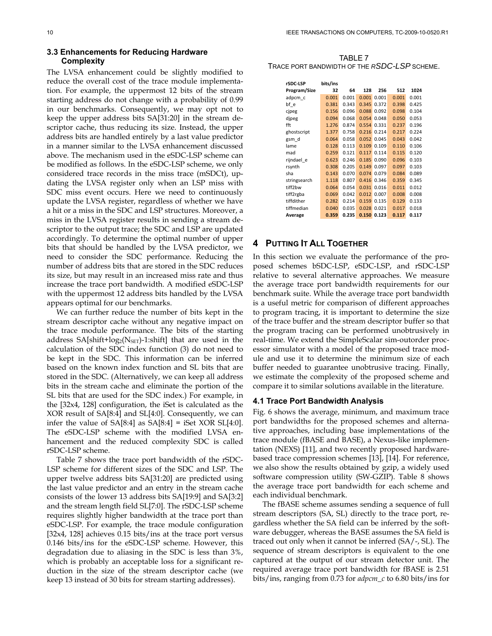# **3.3 Enhancements for Reducing Hardware Complexity**

The LVSA enhancement could be slightly modified to reduce the overall cost of the trace module implementation. For example, the uppermost 12 bits of the stream starting address do not change with a probability of 0.99 in our benchmarks. Consequently, we may opt not to keep the upper address bits SA[31:20] in the stream descriptor cache, thus reducing its size. Instead, the upper address bits are handled entirely by a last value predictor in a manner similar to the LVSA enhancement discussed above. The mechanism used in the eSDC-LSP scheme can be modified as follows. In the eSDC-LSP scheme, we only considered trace records in the miss trace (mSDCt), updating the LVSA register only when an LSP miss with SDC miss event occurs. Here we need to continuously update the LVSA register, regardless of whether we have a hit or a miss in the SDC and LSP structures. Moreover, a miss in the LVSA register results in sending a stream descriptor to the output trace; the SDC and LSP are updated accordingly. To determine the optimal number of upper bits that should be handled by the LVSA predictor, we need to consider the SDC performance. Reducing the number of address bits that are stored in the SDC reduces its size, but may result in an increased miss rate and thus increase the trace port bandwidth. A modified eSDC-LSP with the uppermost 12 address bits handled by the LVSA appears optimal for our benchmarks.

We can further reduce the number of bits kept in the stream descriptor cache without any negative impact on the trace module performance. The bits of the starting address  $SA[shift+log_2(N<sub>SET</sub>)-1:shift]$  that are used in the calculation of the SDC index function (3) do not need to be kept in the SDC. This information can be inferred based on the known index function and SL bits that are stored in the SDC. (Alternatively, we can keep all address bits in the stream cache and eliminate the portion of the SL bits that are used for the SDC index.) For example, in the [32x4, 128] configuration, the iSet is calculated as the XOR result of SA[8:4] and SL[4:0]. Consequently, we can infer the value of  $SA[8:4]$  as  $SA[8:4] = iSet XOR SL[4:0]$ . The eSDC-LSP scheme with the modified LVSA enhancement and the reduced complexity SDC is called rSDC-LSP scheme.

Table 7 shows the trace port bandwidth of the rSDC-LSP scheme for different sizes of the SDC and LSP. The upper twelve address bits SA[31:20] are predicted using the last value predictor and an entry in the stream cache consists of the lower 13 address bits SA[19:9] and SA[3:2] and the stream length field SL[7:0]. The rSDC-LSP scheme requires slightly higher bandwidth at the trace port than eSDC-LSP. For example, the trace module configuration [32x4, 128] achieves 0.15 bits/ins at the trace port versus 0.146 bits/ins for the eSDC-LSP scheme. However, this degradation due to aliasing in the SDC is less than 3%, which is probably an acceptable loss for a significant reduction in the size of the stream descriptor cache (we keep 13 instead of 30 bits for stream starting addresses).

TABLE 7 TRACE PORT BANDWIDTH OF THE *RSDC-LSP* SCHEME.

| rSDC-LSP     | bits/ins |       |       |       |       |       |
|--------------|----------|-------|-------|-------|-------|-------|
| Program/Size | 32       | 64    | 128   | 256   | 512   | 1024  |
| adpcm c      | 0.001    | 0.001 | 0.001 | 0.001 | 0.001 | 0.001 |
| bf e         | 0.381    | 0.343 | 0.345 | 0.372 | 0.398 | 0.425 |
| cipeg        | 0.156    | 0.096 | 0.088 | 0.092 | 0.098 | 0.104 |
| djpeg        | 0.094    | 0.068 | 0.054 | 0.048 | 0.050 | 0.053 |
| fft          | 1.276    | 0.874 | 0.554 | 0.331 | 0.237 | 0.196 |
| ghostscript  | 1.377    | 0.758 | 0.216 | 0.214 | 0.217 | 0.224 |
| gsm d        | 0.064    | 0.058 | 0.052 | 0.045 | 0.043 | 0.042 |
| lame         | 0.128    | 0.113 | 0.109 | 0.109 | 0.110 | 0.106 |
| mad          | 0.259    | 0.121 | 0.117 | 0.114 | 0.115 | 0.120 |
| rijndael e   | 0.623    | 0.246 | 0.185 | 0.090 | 0.096 | 0.103 |
| rsynth       | 0.308    | 0.205 | 0.149 | 0.097 | 0.097 | 0.103 |
| sha          | 0.143    | 0.070 | 0.074 | 0.079 | 0.084 | 0.089 |
| stringsearch | 1.118    | 0.807 | 0.416 | 0.346 | 0.359 | 0.345 |
| tiff2bw      | 0.064    | 0.054 | 0.031 | 0.016 | 0.011 | 0.012 |
| tiff2rgba    | 0.069    | 0.042 | 0.012 | 0.007 | 0.008 | 0.008 |
| tiffdither   | 0.282    | 0.214 | 0.159 | 0.135 | 0.129 | 0.133 |
| tiffmedian   | 0.040    | 0.035 | 0.028 | 0.021 | 0.017 | 0.018 |
| Average      | 0.359    | 0.235 | 0.150 | 0.123 | 0.117 | 0.117 |

# **4 PUTTING IT ALL TOGETHER**

In this section we evaluate the performance of the proposed schemes bSDC-LSP, eSDC-LSP, and rSDC-LSP relative to several alternative approaches. We measure the average trace port bandwidth requirements for our benchmark suite. While the average trace port bandwidth is a useful metric for comparison of different approaches to program tracing, it is important to determine the size of the trace buffer and the stream descriptor buffer so that the program tracing can be performed unobtrusively in real-time. We extend the SimpleScalar sim-outorder processor simulator with a model of the proposed trace module and use it to determine the minimum size of each buffer needed to guarantee unobtrusive tracing. Finally, we estimate the complexity of the proposed scheme and compare it to similar solutions available in the literature.

# **4.1 Trace Port Bandwidth Analysis**

Fig. 6 shows the average, minimum, and maximum trace port bandwidths for the proposed schemes and alternative approaches, including base implementations of the trace module (fBASE and BASE), a Nexus-like implementation (NEXS) [11], and two recently proposed hardwarebased trace compression schemes [13], [14]. For reference, we also show the results obtained by gzip, a widely used software compression utility (SW-GZIP). Table 8 shows the average trace port bandwidth for each scheme and each individual benchmark.

The fBASE scheme assumes sending a sequence of full stream descriptors (SA, SL) directly to the trace port, regardless whether the SA field can be inferred by the software debugger, whereas the BASE assumes the SA field is traced out only when it cannot be inferred (SA/-, SL). The sequence of stream descriptors is equivalent to the one captured at the output of our stream detector unit. The required average trace port bandwidth for fBASE is 2.51 bits/ins, ranging from 0.73 for *adpcm\_c* to 6.80 bits/ins for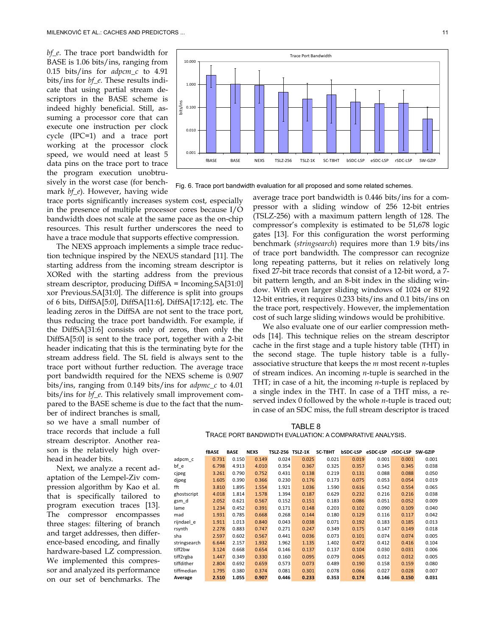*bf\_e*. The trace port bandwidth for BASE is 1.06 bits/ins, ranging from 0.15 bits/ins for *adpcm\_c* to 4.91 bits/ins for *bf\_e*. These results indicate that using partial stream descriptors in the BASE scheme is indeed highly beneficial. Still, assuming a processor core that can execute one instruction per clock cycle (IPC=1) and a trace port working at the processor clock speed, we would need at least 5 data pins on the trace port to trace the program execution unobtrusively in the worst case (for benchmark *bf\_e*). However, having wide

trace ports significantly increases system cost, especially in the presence of multiple processor cores because I/O bandwidth does not scale at the same pace as the on-chip resources. This result further underscores the need to have a trace module that supports effective compression.

The NEXS approach implements a simple trace reduction technique inspired by the NEXUS standard [11]. The starting address from the incoming stream descriptor is XORed with the starting address from the previous stream descriptor, producing DiffSA = Incoming.SA[31:0] xor Previous.SA[31:0]. The difference is split into groups of 6 bits, DiffSA[5:0], DiffSA[11:6], DiffSA[17:12], etc. The leading zeros in the DiffSA are not sent to the trace port, thus reducing the trace port bandwidth. For example, if the DiffSA[31:6] consists only of zeros, then only the DiffSA[5:0] is sent to the trace port, together with a 2-bit header indicating that this is the terminating byte for the stream address field. The SL field is always sent to the trace port without further reduction. The average trace port bandwidth required for the NEXS scheme is 0.907 bits/ins, ranging from 0.149 bits/ins for *adpmc\_c* to 4.01 bits/ins for *bf\_e*. This relatively small improvement compared to the BASE scheme is due to the fact that the num-

ber of indirect branches is small, so we have a small number of trace records that include a full stream descriptor. Another reason is the relatively high overhead in header bits.

Next, we analyze a recent adaptation of the Lempel-Ziv compression algorithm by Kao et al. that is specifically tailored to program execution traces [13]. The compressor encompasses three stages: filtering of branch and target addresses, then difference-based encoding, and finally hardware-based LZ compression. We implemented this compressor and analyzed its performance on our set of benchmarks. The



Fig. 6. Trace port bandwidth evaluation for all proposed and some related schemes.

average trace port bandwidth is 0.446 bits/ins for a compressor with a sliding window of 256 12-bit entries (TSLZ-256) with a maximum pattern length of 128. The compressor's complexity is estimated to be 51,678 logic gates [13]. For this configuration the worst performing benchmark (*stringsearch*) requires more than 1.9 bits/ins of trace port bandwidth. The compressor can recognize long repeating patterns, but it relies on relatively long fixed 27-bit trace records that consist of a 12-bit word, a 7 bit pattern length, and an 8-bit index in the sliding window. With even larger sliding windows of 1024 or 8192 12-bit entries, it requires 0.233 bits/ins and 0.1 bits/ins on the trace port, respectively. However, the implementation cost of such large sliding windows would be prohibitive.

We also evaluate one of our earlier compression methods [14]. This technique relies on the stream descriptor cache in the first stage and a tuple history table (THT) in the second stage. The tuple history table is a fullyassociative structure that keeps the *m* most recent *n*-tuples of stream indices. An incoming *n*-tuple is searched in the THT; in case of a hit, the incoming *n*-tuple is replaced by a single index in the THT. In case of a THT miss, a reserved index 0 followed by the whole *n*-tuple is traced out; in case of an SDC miss, the full stream descriptor is traced

TABLE 8

TRACE PORT BANDWIDTH EVALUATION: A COMPARATIVE ANALYSIS.

|              | fBASE | <b>BASE</b> | <b>NEXS</b> | TSLZ-256 TSLZ-1K |       | SC-T8HT | <b>bSDC-LSP</b> | eSDC-LSP | rSDC-LSP | SW-GZIP |
|--------------|-------|-------------|-------------|------------------|-------|---------|-----------------|----------|----------|---------|
| adpcm c      | 0.731 | 0.150       | 0.149       | 0.024            | 0.025 | 0.021   | 0.019           | 0.001    | 0.001    | 0.001   |
| bf e         | 6.798 | 4.913       | 4.010       | 0.354            | 0.367 | 0.325   | 0.357           | 0.345    | 0.345    | 0.038   |
| cipeg        | 3.261 | 0.790       | 0.752       | 0.431            | 0.138 | 0.219   | 0.131           | 0.088    | 0.088    | 0.050   |
| djpeg        | 1.605 | 0.390       | 0.366       | 0.230            | 0.176 | 0.173   | 0.075           | 0.053    | 0.054    | 0.019   |
| fft          | 3.810 | 1.895       | 1.554       | 1.921            | 1.036 | 1.590   | 0.616           | 0.542    | 0.554    | 0.065   |
| ghostscript  | 4.018 | 1.814       | 1.578       | 1.394            | 0.187 | 0.629   | 0.232           | 0.216    | 0.216    | 0.038   |
| gsm d        | 2.052 | 0.621       | 0.567       | 0.152            | 0.151 | 0.183   | 0.086           | 0.051    | 0.052    | 0.009   |
| lame         | 1.234 | 0.452       | 0.391       | 0.171            | 0.148 | 0.203   | 0.102           | 0.090    | 0.109    | 0.040   |
| mad          | 1.931 | 0.785       | 0.668       | 0.268            | 0.144 | 0.180   | 0.129           | 0.116    | 0.117    | 0.042   |
| rijndael e   | 1.911 | 1.013       | 0.840       | 0.043            | 0.038 | 0.071   | 0.192           | 0.183    | 0.185    | 0.013   |
| rsynth       | 2.278 | 0.883       | 0.747       | 0.271            | 0.247 | 0.349   | 0.175           | 0.147    | 0.149    | 0.018   |
| sha          | 2.597 | 0.602       | 0.567       | 0.441            | 0.036 | 0.073   | 0.101           | 0.074    | 0.074    | 0.005   |
| stringsearch | 6.644 | 2.157       | 1.932       | 1.962            | 1.135 | 1.402   | 0.472           | 0.412    | 0.416    | 0.104   |
| tiff2bw      | 3.124 | 0.668       | 0.654       | 0.146            | 0.137 | 0.137   | 0.104           | 0.030    | 0.031    | 0.006   |
| tiff2rgba    | 1.447 | 0.349       | 0.330       | 0.160            | 0.095 | 0.079   | 0.045           | 0.012    | 0.012    | 0.005   |
| tiffdither   | 2.804 | 0.692       | 0.659       | 0.573            | 0.073 | 0.489   | 0.190           | 0.158    | 0.159    | 0.080   |
| tiffmedian   | 1.795 | 0.380       | 0.374       | 0.081            | 0.301 | 0.078   | 0.066           | 0.027    | 0.028    | 0.007   |
| Average      | 2.510 | 1.055       | 0.907       | 0.446            | 0.233 | 0.353   | 0.174           | 0.146    | 0.150    | 0.031   |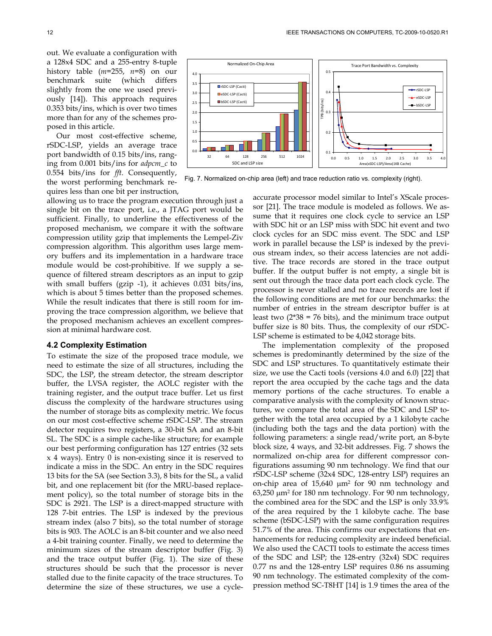out. We evaluate a configuration with a 128x4 SDC and a 255-entry 8-tuple history table (*m*=255, *n*=8) on our benchmark suite (which differs slightly from the one we used previously [14]). This approach requires 0.353 bits/ins, which is over two times more than for any of the schemes proposed in this article.

Our most cost-effective scheme, rSDC-LSP, yields an average trace port bandwidth of 0.15 bits/ins, ranging from 0.001 bits/ins for *adpcm\_c* to 0.554 bits/ins for *fft*. Consequently, the worst performing benchmark requires less than one bit per instruction,

allowing us to trace the program execution through just a single bit on the trace port, i.e., a JTAG port would be sufficient. Finally, to underline the effectiveness of the proposed mechanism, we compare it with the software compression utility gzip that implements the Lempel-Ziv compression algorithm. This algorithm uses large memory buffers and its implementation in a hardware trace module would be cost-prohibitive. If we supply a sequence of filtered stream descriptors as an input to gzip with small buffers (gzip -1), it achieves 0.031 bits/ins, which is about 5 times better than the proposed schemes. While the result indicates that there is still room for improving the trace compression algorithm, we believe that the proposed mechanism achieves an excellent compression at minimal hardware cost.

#### **4.2 Complexity Estimation**

To estimate the size of the proposed trace module, we need to estimate the size of all structures, including the SDC, the LSP, the stream detector, the stream descriptor buffer, the LVSA register, the AOLC register with the training register, and the output trace buffer. Let us first discuss the complexity of the hardware structures using the number of storage bits as complexity metric. We focus on our most cost-effective scheme rSDC-LSP. The stream detector requires two registers, a 30-bit SA and an 8-bit SL. The SDC is a simple cache-like structure; for example our best performing configuration has 127 entries (32 sets x 4 ways). Entry 0 is non-existing since it is reserved to indicate a miss in the SDC. An entry in the SDC requires 13 bits for the SA (see Section 3.3), 8 bits for the SL, a valid bit, and one replacement bit (for the MRU-based replacement policy), so the total number of storage bits in the SDC is 2921. The LSP is a direct-mapped structure with 128 7-bit entries. The LSP is indexed by the previous stream index (also 7 bits), so the total number of storage bits is 903. The AOLC is an 8-bit counter and we also need a 4-bit training counter. Finally, we need to determine the minimum sizes of the stream descriptor buffer (Fig. 3) and the trace output buffer (Fig. 1). The size of these structures should be such that the processor is never stalled due to the finite capacity of the trace structures. To determine the size of these structures, we use a cycle-



Fig. 7. Normalized on-chip area (left) and trace reduction ratio vs. complexity (right).

accurate processor model similar to Intel's XScale processor [21]. The trace module is modeled as follows. We assume that it requires one clock cycle to service an LSP with SDC hit or an LSP miss with SDC hit event and two clock cycles for an SDC miss event. The SDC and LSP work in parallel because the LSP is indexed by the previous stream index, so their access latencies are not additive. The trace records are stored in the trace output buffer. If the output buffer is not empty, a single bit is sent out through the trace data port each clock cycle. The processor is never stalled and no trace records are lost if the following conditions are met for our benchmarks: the number of entries in the stream descriptor buffer is at least two  $(2*38 = 76 \text{ bits})$ , and the minimum trace output buffer size is 80 bits. Thus, the complexity of our rSDC-LSP scheme is estimated to be 4,042 storage bits.

The implementation complexity of the proposed schemes is predominantly determined by the size of the SDC and LSP structures. To quantitatively estimate their size, we use the Cacti tools (versions 4.0 and 6.0) [22] that report the area occupied by the cache tags and the data memory portions of the cache structures. To enable a comparative analysis with the complexity of known structures, we compare the total area of the SDC and LSP together with the total area occupied by a 1 kilobyte cache (including both the tags and the data portion) with the following parameters: a single read/write port, an 8-byte block size, 4 ways, and 32-bit addresses. Fig. 7 shows the normalized on-chip area for different compressor configurations assuming 90 nm technology. We find that our rSDC-LSP scheme (32x4 SDC, 128-entry LSP) requires an on-chip area of 15,640 μm2 for 90 nm technology and  $63,250 \mu m^2$  for 180 nm technology. For 90 nm technology, the combined area for the SDC and the LSP is only 33.9% of the area required by the 1 kilobyte cache. The base scheme (bSDC-LSP) with the same configuration requires 51.7% of the area. This confirms our expectations that enhancements for reducing complexity are indeed beneficial. We also used the CACTI tools to estimate the access times of the SDC and LSP; the 128-entry (32x4) SDC requires 0.77 ns and the 128-entry LSP requires 0.86 ns assuming 90 nm technology. The estimated complexity of the compression method SC-T8HT [14] is 1.9 times the area of the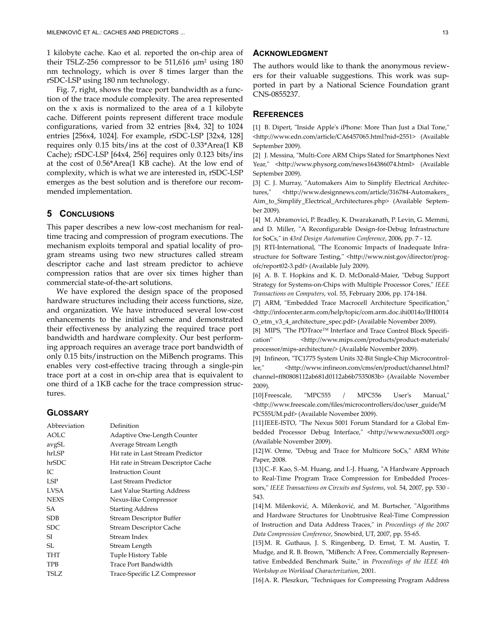1 kilobyte cache. Kao et al. reported the on-chip area of their TSLZ-256 compressor to be 511,616 μm<sup>2</sup> using 180 nm technology, which is over 8 times larger than the rSDC-LSP using 180 nm technology.

Fig. 7, right, shows the trace port bandwidth as a function of the trace module complexity. The area represented on the x axis is normalized to the area of a 1 kilobyte cache. Different points represent different trace module configurations, varied from 32 entries [8x4, 32] to 1024 entries [256x4, 1024]. For example, rSDC-LSP [32x4, 128] requires only 0.15 bits/ins at the cost of 0.33\*Area(1 KB Cache); rSDC-LSP [64x4, 256] requires only 0.123 bits/ins at the cost of 0.56\*Area(1 KB cache). At the low end of complexity, which is what we are interested in, rSDC-LSP emerges as the best solution and is therefore our recommended implementation.

# **5 CONCLUSIONS**

This paper describes a new low-cost mechanism for realtime tracing and compression of program executions. The mechanism exploits temporal and spatial locality of program streams using two new structures called stream descriptor cache and last stream predictor to achieve compression ratios that are over six times higher than commercial state-of-the-art solutions.

We have explored the design space of the proposed hardware structures including their access functions, size, and organization. We have introduced several low-cost enhancements to the initial scheme and demonstrated their effectiveness by analyzing the required trace port bandwidth and hardware complexity. Our best performing approach requires an average trace port bandwidth of only 0.15 bits/instruction on the MiBench programs. This enables very cost-effective tracing through a single-pin trace port at a cost in on-chip area that is equivalent to one third of a 1KB cache for the trace compression structures.

### **GLOSSARY**

| Abbreviation | Definition                          |
|--------------|-------------------------------------|
| AOLC         | Adaptive One-Length Counter         |
| avgSL        | Average Stream Length               |
| hrLSP        | Hit rate in Last Stream Predictor   |
| hrSDC        | Hit rate in Stream Descriptor Cache |
| IC.          | <b>Instruction Count</b>            |
| LSP          | Last Stream Predictor               |
| LVSA         | Last Value Starting Address         |
| <b>NEXS</b>  | Nexus-like Compressor               |
| SА           | <b>Starting Address</b>             |
| SDB          | Stream Descriptor Buffer            |
| <b>SDC</b>   | <b>Stream Descriptor Cache</b>      |
| SI           | Stream Index                        |
| SL           | Stream Length                       |
| THT          | Tuple History Table                 |
| TPB          | Trace Port Bandwidth                |
| TSLZ.        | Trace-Specific LZ Compressor        |

# **ACKNOWLEDGMENT**

The authors would like to thank the anonymous reviewers for their valuable suggestions. This work was supported in part by a National Science Foundation grant CNS-0855237.

#### **REFERENCES**

[1] B. Dipert, "Inside Apple's iPhone: More Than Just a Dial Tone," <http://www.edn.com/article/CA6457065.html?nid=2551> (Available September 2009).

[2] J. Messina, "Multi-Core ARM Chips Slated for Smartphones Next Year," <http://www.physorg.com/news164386074.html> (Available September 2009).

[3] C. J. Murray, "Automakers Aim to Simplify Electrical Architectures," <http://www.designnews.com/article/316784-Automakers\_ Aim\_to\_Simplify\_Electrical\_Architectures.php> (Available Septem‐ ber 2009).

[4] M. Abramovici, P. Bradley, K. Dwarakanath, P. Levin, G. Memmi, and D. Miller, "A Reconfigurable Design-for-Debug Infrastructure for SoCs,ʺ in *43rd Design Automation Conference*, 2006, pp. 7 ‐ 12.

[5] RTI-International, "The Economic Impacts of Inadequate Infrastructure for Software Testing," <http://www.nist.gov/director/progofc/report02‐3.pdf> (Available July 2009).

[6] A. B. T. Hopkins and K. D. McDonald-Maier, "Debug Support Strategy for Systems-on-Chips with Multiple Processor Cores," IEEE *Transactions on Computers*, vol. 55, February 2006, pp. 174‐184.

[7] ARM, "Embedded Trace Macrocell Architecture Specification," <http://infocenter.arm.com/help/topic/com.arm.doc.ihi0014o/IHI0014 O\_etm\_v3\_4\_architecture\_spec.pdf> (Available November 2009).

[8] MIPS, "The PDTrace™ Interface and Trace Control Block Specification" <http://www.mips.com/products/product-materials/ processor/mips‐architecture/> (Available November 2009).

[9] Infineon, "TC1775 System Units 32-Bit Single-Chip Microcontroller," <http://www.infineon.com/cms/en/product/channel.html? channel=ff80808112ab681d0112ab6b7535083b> (Available November 2009).

[10] Freescale, "MPC555 / MPC556 User's Manual," <http://www.freescale.com/files/microcontrollers/doc/user\_guide/M PC555UM.pdf> (Available November 2009).

[11] IEEE-ISTO, "The Nexus 5001 Forum Standard for a Global Embedded Processor Debug Interface," <http://www.nexus5001.org> (Available November 2009).

[12] W. Orme, "Debug and Trace for Multicore SoCs," ARM White Paper, 2008.

[13] C.-F. Kao, S.-M. Huang, and I.-J. Huang, "A Hardware Approach to Real‐Time Program Trace Compression for Embedded Proces‐ sors,ʺ *IEEE Transactions on Circuits and Systems*, vol. 54, 2007, pp. 530 ‐ 543.

[14]M. Milenković, A. Milenković, and M. Burtscher, "Algorithms and Hardware Structures for Unobtrusive Real‐Time Compression of Instruction and Data Address Traces,ʺ in *Proceedings of the 2007 Data Compression Conference*, Snowbird, UT, 2007, pp. 55‐65.

[15]M. R. Guthaus, J. S. Ringenberg, D. Ernst, T. M. Austin, T. Mudge, and R. B. Brown, "MiBench: A Free, Commercially Representative Embedded Benchmark Suite,ʺ in *Proceedings of the IEEE 4th Workshop on Workload Characterization*, 2001.

[16] A. R. Pleszkun, "Techniques for Compressing Program Address